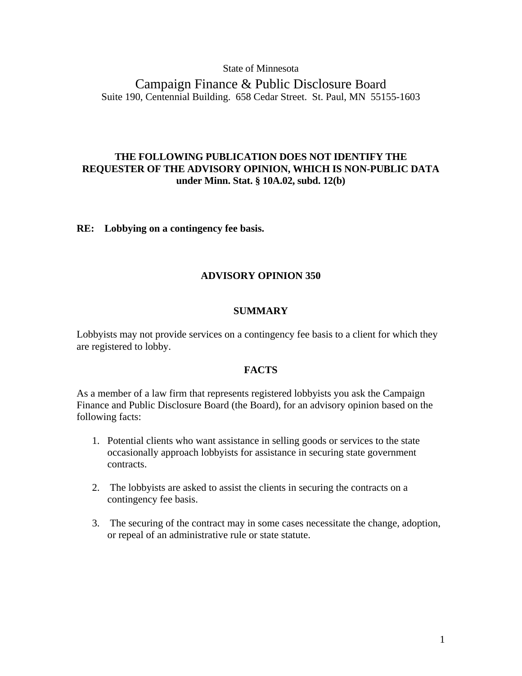## State of Minnesota

Campaign Finance & Public Disclosure Board Suite 190, Centennial Building. 658 Cedar Street. St. Paul, MN 55155-1603

## **THE FOLLOWING PUBLICATION DOES NOT IDENTIFY THE REQUESTER OF THE ADVISORY OPINION, WHICH IS NON-PUBLIC DATA under Minn. Stat. § 10A.02, subd. 12(b)**

**RE: Lobbying on a contingency fee basis.** 

## **ADVISORY OPINION 350**

## **SUMMARY**

Lobbyists may not provide services on a contingency fee basis to a client for which they are registered to lobby.

## **FACTS**

As a member of a law firm that represents registered lobbyists you ask the Campaign Finance and Public Disclosure Board (the Board), for an advisory opinion based on the following facts:

- 1. Potential clients who want assistance in selling goods or services to the state occasionally approach lobbyists for assistance in securing state government contracts.
- 2. The lobbyists are asked to assist the clients in securing the contracts on a contingency fee basis.
- 3. The securing of the contract may in some cases necessitate the change, adoption, or repeal of an administrative rule or state statute.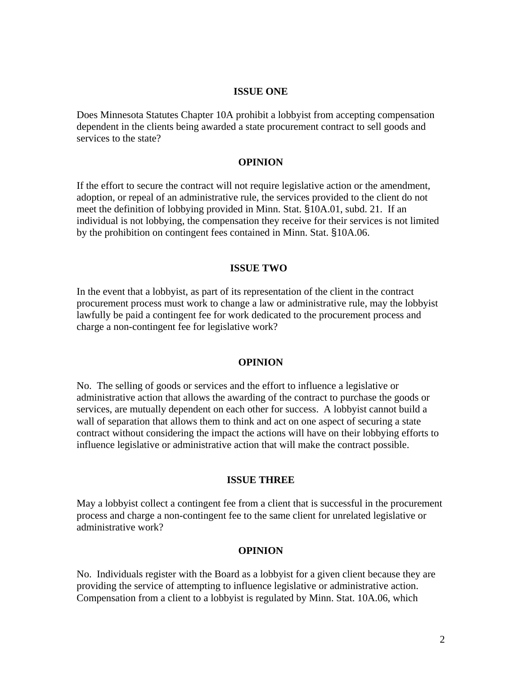## **ISSUE ONE**

Does Minnesota Statutes Chapter 10A prohibit a lobbyist from accepting compensation dependent in the clients being awarded a state procurement contract to sell goods and services to the state?

## **OPINION**

If the effort to secure the contract will not require legislative action or the amendment, adoption, or repeal of an administrative rule, the services provided to the client do not meet the definition of lobbying provided in Minn. Stat. §10A.01, subd. 21. If an individual is not lobbying, the compensation they receive for their services is not limited by the prohibition on contingent fees contained in Minn. Stat. §10A.06.

#### **ISSUE TWO**

In the event that a lobbyist, as part of its representation of the client in the contract procurement process must work to change a law or administrative rule, may the lobbyist lawfully be paid a contingent fee for work dedicated to the procurement process and charge a non-contingent fee for legislative work?

#### **OPINION**

No. The selling of goods or services and the effort to influence a legislative or administrative action that allows the awarding of the contract to purchase the goods or services, are mutually dependent on each other for success. A lobbyist cannot build a wall of separation that allows them to think and act on one aspect of securing a state contract without considering the impact the actions will have on their lobbying efforts to influence legislative or administrative action that will make the contract possible.

#### **ISSUE THREE**

May a lobbyist collect a contingent fee from a client that is successful in the procurement process and charge a non-contingent fee to the same client for unrelated legislative or administrative work?

## **OPINION**

No. Individuals register with the Board as a lobbyist for a given client because they are providing the service of attempting to influence legislative or administrative action. Compensation from a client to a lobbyist is regulated by Minn. Stat. 10A.06, which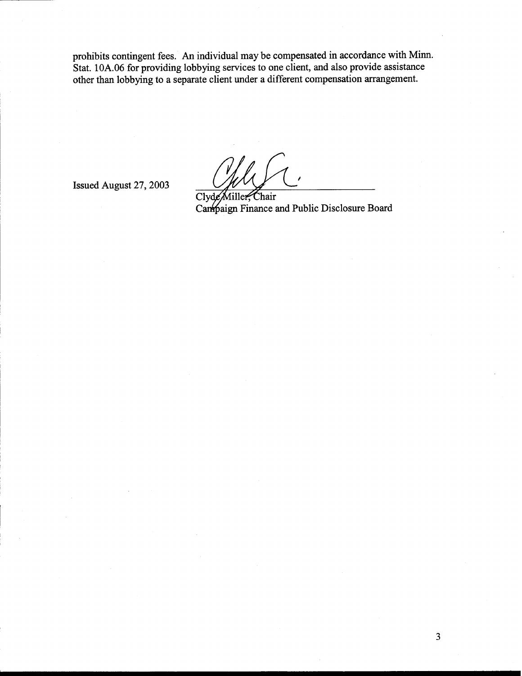prohibits contingent fees. **An** individual may be compensated in accordance with Minn. Stat. 10A.06 for providing lobbying services to one client, and also provide assistance other than lobbying to a separate client under a different compensation arrangement. probibits contingent fees. An individual may be compensated in accordance with Minn.<br>
Stat. 10A.06 for providing lobbying services to one client, and also provide assistance<br>
other than lobbying to a separate client under

Canpaign Finance and Public Disclosure Board

 $\overline{3}$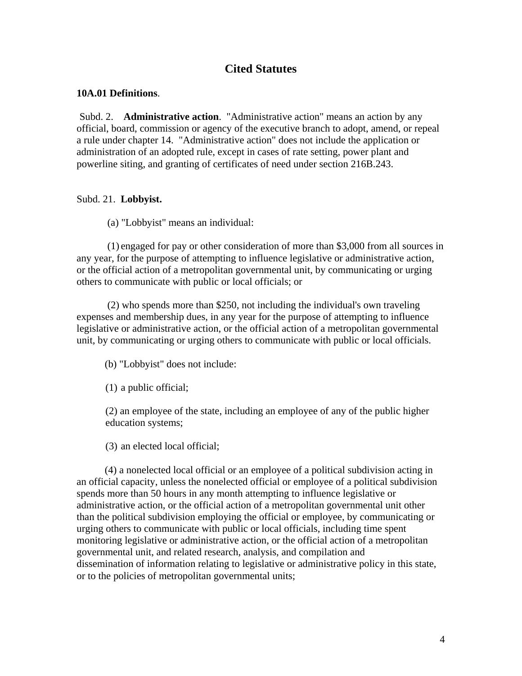# **Cited Statutes**

## **10A.01 Definitions**.

Subd. 2. **Administrative action**. "Administrative action" means an action by any official, board, commission or agency of the executive branch to adopt, amend, or repeal a rule under chapter 14. "Administrative action" does not include the application or administration of an adopted rule, except in cases of rate setting, power plant and powerline siting, and granting of certificates of need under section 216B.243.

## Subd. 21. **Lobbyist.**

(a) "Lobbyist" means an individual:

(1) engaged for pay or other consideration of more than \$3,000 from all sources in any year, for the purpose of attempting to influence legislative or administrative action, or the official action of a metropolitan governmental unit, by communicating or urging others to communicate with public or local officials; or

(2) who spends more than \$250, not including the individual's own traveling expenses and membership dues, in any year for the purpose of attempting to influence legislative or administrative action, or the official action of a metropolitan governmental unit, by communicating or urging others to communicate with public or local officials.

(b) "Lobbyist" does not include:

(1) a public official;

(2) an employee of the state, including an employee of any of the public higher education systems;

(3) an elected local official;

 (4) a nonelected local official or an employee of a political subdivision acting in an official capacity, unless the nonelected official or employee of a political subdivision spends more than 50 hours in any month attempting to influence legislative or administrative action, or the official action of a metropolitan governmental unit other than the political subdivision employing the official or employee, by communicating or urging others to communicate with public or local officials, including time spent monitoring legislative or administrative action, or the official action of a metropolitan governmental unit, and related research, analysis, and compilation and dissemination of information relating to legislative or administrative policy in this state, or to the policies of metropolitan governmental units;